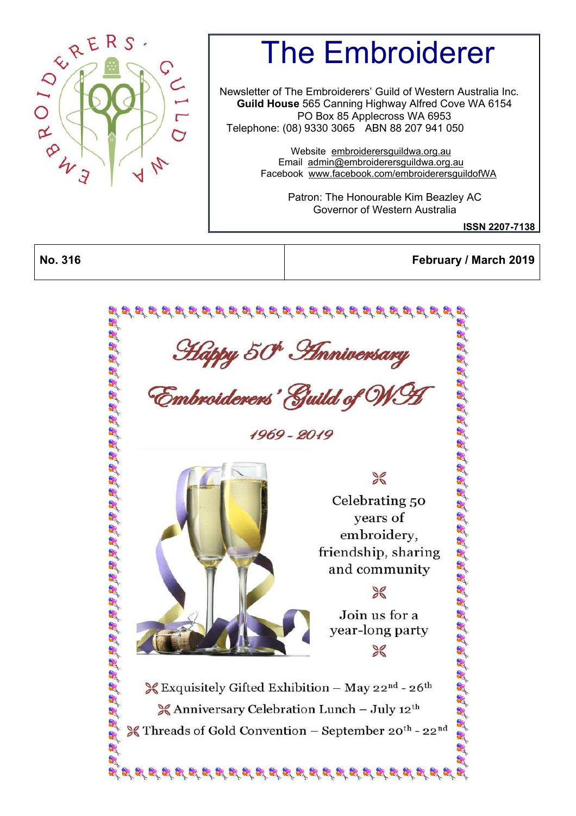

# The Embroiderer

Newsletter of The Embroiderers' Guild of Western Australia Inc. **Guild House** 565 Canning Highway Alfred Cove WA 6154 PO Box 85 Applecross WA 6953 Telephone: (08) 9330 3065 ABN 88 207 941 050

> Website [embroiderersguildwa.org.au](http://embroiderersguildwa.org.au/) Email [admin@embroiderersguildwa.org.au](mailto:admin@embroiderersguildwa.org.au) Facebook [www.facebook.com/embroiderersguildofWA](http://www.facebook.com/embroiderersguildofWA/)

> > Patron: The Honourable Kim Beazley AC Governor of Western Australia

> > > **ISSN 2207-7138**

**No. 316 February / March 2019**

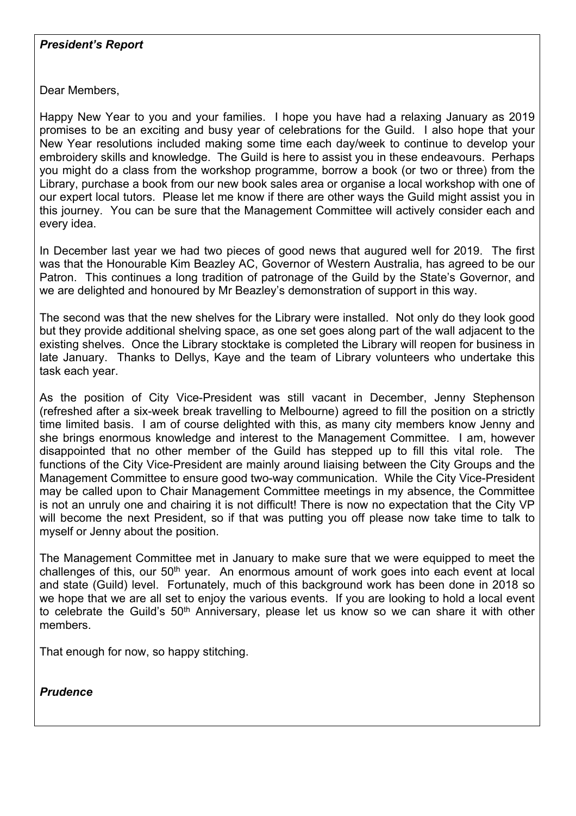#### *President's Report*

Dear Members,

Happy New Year to you and your families. I hope you have had a relaxing January as 2019 promises to be an exciting and busy year of celebrations for the Guild. I also hope that your New Year resolutions included making some time each day/week to continue to develop your embroidery skills and knowledge. The Guild is here to assist you in these endeavours. Perhaps you might do a class from the workshop programme, borrow a book (or two or three) from the Library, purchase a book from our new book sales area or organise a local workshop with one of our expert local tutors. Please let me know if there are other ways the Guild might assist you in this journey. You can be sure that the Management Committee will actively consider each and every idea.

In December last year we had two pieces of good news that augured well for 2019. The first was that the Honourable Kim Beazley AC, Governor of Western Australia, has agreed to be our Patron. This continues a long tradition of patronage of the Guild by the State's Governor, and we are delighted and honoured by Mr Beazley's demonstration of support in this way.

The second was that the new shelves for the Library were installed. Not only do they look good but they provide additional shelving space, as one set goes along part of the wall adjacent to the existing shelves. Once the Library stocktake is completed the Library will reopen for business in late January. Thanks to Dellys, Kaye and the team of Library volunteers who undertake this task each year.

As the position of City Vice-President was still vacant in December, Jenny Stephenson (refreshed after a six-week break travelling to Melbourne) agreed to fill the position on a strictly time limited basis. I am of course delighted with this, as many city members know Jenny and she brings enormous knowledge and interest to the Management Committee. I am, however disappointed that no other member of the Guild has stepped up to fill this vital role. The functions of the City Vice-President are mainly around liaising between the City Groups and the Management Committee to ensure good two-way communication. While the City Vice-President may be called upon to Chair Management Committee meetings in my absence, the Committee is not an unruly one and chairing it is not difficult! There is now no expectation that the City VP will become the next President, so if that was putting you off please now take time to talk to myself or Jenny about the position.

The Management Committee met in January to make sure that we were equipped to meet the challenges of this, our 50th year. An enormous amount of work goes into each event at local and state (Guild) level. Fortunately, much of this background work has been done in 2018 so we hope that we are all set to enjoy the various events. If you are looking to hold a local event to celebrate the Guild's 50<sup>th</sup> Anniversary, please let us know so we can share it with other members.

That enough for now, so happy stitching.

*Prudence*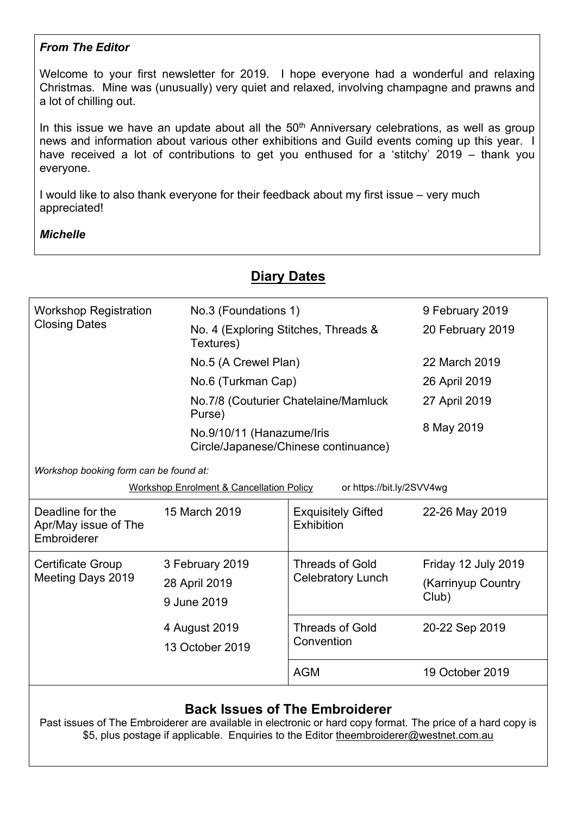#### *From The Editor*

Welcome to your first newsletter for 2019. I hope everyone had a wonderful and relaxing Christmas. Mine was (unusually) very quiet and relaxed, involving champagne and prawns and a lot of chilling out.

In this issue we have an update about all the  $50<sup>th</sup>$  Anniversary celebrations, as well as group news and information about various other exhibitions and Guild events coming up this year. I have received a lot of contributions to get you enthused for a 'stitchy' 2019 – thank you everyone.

**Diary Dates**

I would like to also thank everyone for their feedback about my first issue – very much appreciated!

#### *Michelle*

| <b>Workshop Registration</b>                            | No.3 (Foundations 1)                                |                                         | 9 February 2019             |
|---------------------------------------------------------|-----------------------------------------------------|-----------------------------------------|-----------------------------|
| <b>Closing Dates</b>                                    | No. 4 (Exploring Stitches, Threads &<br>Textures)   |                                         | 20 February 2019            |
|                                                         | No.5 (A Crewel Plan)                                |                                         | 22 March 2019               |
|                                                         | No.6 (Turkman Cap)                                  |                                         | 26 April 2019               |
| Purse)                                                  |                                                     | No.7/8 (Couturier Chatelaine/Mamluck    | 27 April 2019               |
|                                                         | No.9/10/11 (Hanazume/Iris                           | Circle/Japanese/Chinese continuance)    | 8 May 2019                  |
| Workshop booking form can be found at:                  |                                                     |                                         |                             |
|                                                         | <b>Workshop Enrolment &amp; Cancellation Policy</b> | or https://bit.ly/2SVV4wg               |                             |
| Deadline for the<br>Apr/May issue of The<br>Embroiderer | 15 March 2019                                       | <b>Exquisitely Gifted</b><br>Exhibition | 22-26 May 2019              |
| <b>Certificate Group</b>                                | 3 February 2019                                     | <b>Threads of Gold</b>                  | Friday 12 July 2019         |
| Meeting Days 2019                                       | 28 April 2019<br>9 June 2019                        | <b>Celebratory Lunch</b>                | (Karrinyup Country<br>Club) |
|                                                         | 4 August 2019<br>13 October 2019                    | <b>Threads of Gold</b><br>Convention    | 20-22 Sep 2019              |
|                                                         |                                                     | <b>AGM</b>                              | 19 October 2019             |
|                                                         |                                                     |                                         |                             |

#### **Back Issues of The Embroiderer**

Past issues of The Embroiderer are available in electronic or hard copy format. The price of a hard copy is \$5, plus postage if applicable. Enquiries to the Editor [theembroiderer@westnet.com.au](mailto:theembroiderer@westnet.com.au)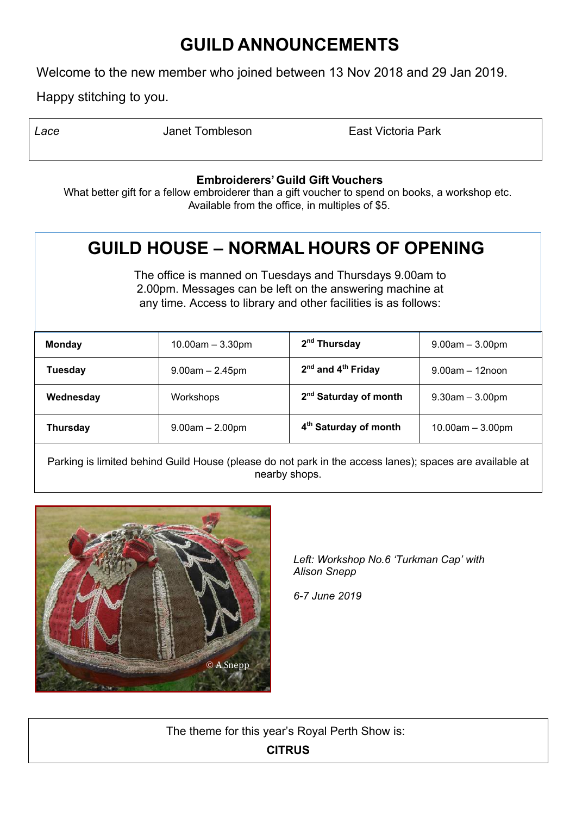# **GUILD ANNOUNCEMENTS**

Welcome to the new member who joined between 13 Nov 2018 and 29 Jan 2019.

Happy stitching to you.

| Lace | Janet Tombleson | East Victoria Park |
|------|-----------------|--------------------|
|      |                 |                    |

#### **Embroiderers' Guild Gift Vouchers**

What better gift for a fellow embroiderer than a gift voucher to spend on books, a workshop etc. Available from the office, in multiples of \$5.

# **GUILD HOUSE – NORMAL HOURS OF OPENING**

The office is manned on Tuesdays and Thursdays 9.00am to 2.00pm. Messages can be left on the answering machine at any time. Access to library and other facilities is as follows:

| <b>Monday</b>   | $10.00am - 3.30pm$ | 2 <sup>nd</sup> Thursday                   | $9.00am - 3.00pm$    |
|-----------------|--------------------|--------------------------------------------|----------------------|
| <b>Tuesday</b>  | $9.00am - 2.45pm$  | 2 <sup>nd</sup> and 4 <sup>th</sup> Friday | $9.00$ am $-12$ noon |
| Wednesday       | Workshops          | 2 <sup>nd</sup> Saturday of month          | $9.30$ am $-3.00$ pm |
| <b>Thursday</b> | $9.00am - 2.00pm$  | 4 <sup>th</sup> Saturday of month          | $10.00am - 3.00pm$   |

Parking is limited behind Guild House (please do not park in the access lanes); spaces are available at nearby shops.



*Left: Workshop No.6 'Turkman Cap' with Alison Snepp* 

*6-7 June 2019*

The theme for this year's Royal Perth Show is:

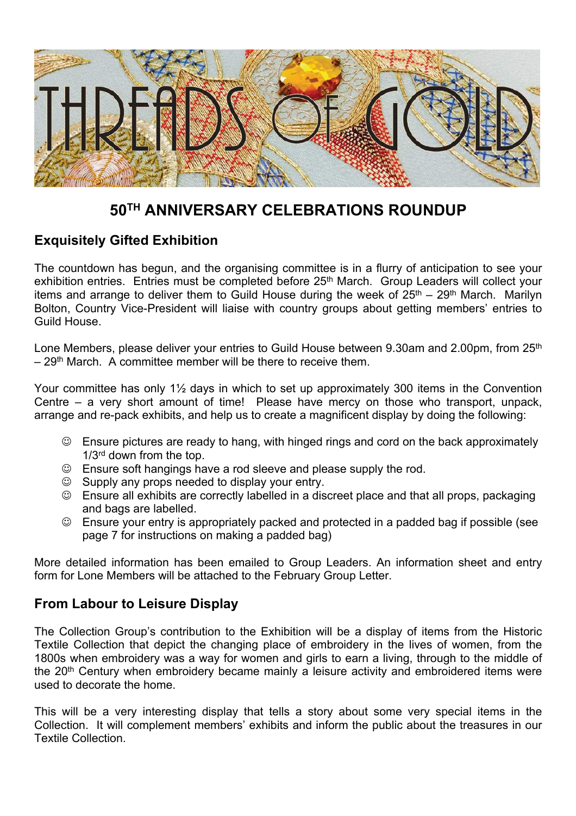

## **50TH ANNIVERSARY CELEBRATIONS ROUNDUP**

#### **Exquisitely Gifted Exhibition**

The countdown has begun, and the organising committee is in a flurry of anticipation to see your exhibition entries. Entries must be completed before 25<sup>th</sup> March. Group Leaders will collect your items and arrange to deliver them to Guild House during the week of  $25<sup>th</sup> - 29<sup>th</sup>$  March. Marilyn Bolton, Country Vice-President will liaise with country groups about getting members' entries to Guild House.

Lone Members, please deliver your entries to Guild House between 9.30am and 2.00pm, from 25<sup>th</sup>  $-29<sup>th</sup>$  March. A committee member will be there to receive them.

Your committee has only 1½ days in which to set up approximately 300 items in the Convention Centre – a very short amount of time! Please have mercy on those who transport, unpack, arrange and re-pack exhibits, and help us to create a magnificent display by doing the following:

- $\odot$  Ensure pictures are ready to hang, with hinged rings and cord on the back approximately 1/3<sup>rd</sup> down from the top.
- $\odot$  Ensure soft hangings have a rod sleeve and please supply the rod.
- $\odot$  Supply any props needed to display your entry.
- Ensure all exhibits are correctly labelled in a discreet place and that all props, packaging and bags are labelled.
- $\odot$  Ensure your entry is appropriately packed and protected in a padded bag if possible (see page 7 for instructions on making a padded bag)

More detailed information has been emailed to Group Leaders. An information sheet and entry form for Lone Members will be attached to the February Group Letter.

#### **From Labour to Leisure Display**

The Collection Group's contribution to the Exhibition will be a display of items from the Historic Textile Collection that depict the changing place of embroidery in the lives of women, from the 1800s when embroidery was a way for women and girls to earn a living, through to the middle of the 20<sup>th</sup> Century when embroidery became mainly a leisure activity and embroidered items were used to decorate the home.

This will be a very interesting display that tells a story about some very special items in the Collection. It will complement members' exhibits and inform the public about the treasures in our Textile Collection.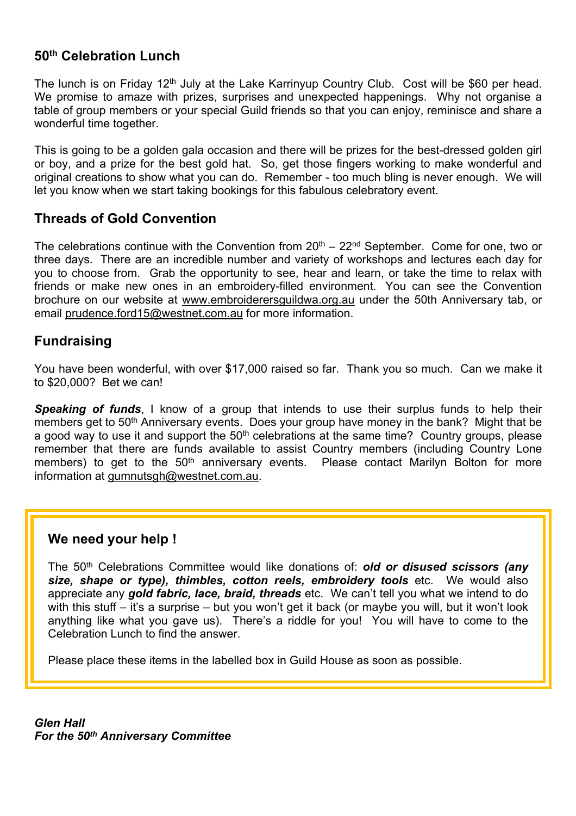#### **50th Celebration Lunch**

The lunch is on Friday 12<sup>th</sup> July at the Lake Karrinyup Country Club. Cost will be \$60 per head. We promise to amaze with prizes, surprises and unexpected happenings. Why not organise a table of group members or your special Guild friends so that you can enjoy, reminisce and share a wonderful time together.

This is going to be a golden gala occasion and there will be prizes for the best-dressed golden girl or boy, and a prize for the best gold hat. So, get those fingers working to make wonderful and original creations to show what you can do. Remember - too much bling is never enough. We will let you know when we start taking bookings for this fabulous celebratory event.

#### **Threads of Gold Convention**

The celebrations continue with the Convention from  $20<sup>th</sup> - 22<sup>nd</sup>$  September. Come for one, two or three days. There are an incredible number and variety of workshops and lectures each day for you to choose from. Grab the opportunity to see, hear and learn, or take the time to relax with friends or make new ones in an embroidery-filled environment. You can see the Convention brochure on our website at [www.embroiderersguildwa.org.au](http://www.embroiderersguildwa.org.au/) under the 50th Anniversary tab, or email [prudence.ford15@westnet.com.au](mailto:prudence.ford15@westnet.com.au) for more information.

#### **Fundraising**

You have been wonderful, with over \$17,000 raised so far. Thank you so much. Can we make it to \$20,000? Bet we can!

**Speaking of funds**. I know of a group that intends to use their surplus funds to help their members get to 50<sup>th</sup> Anniversary events. Does your group have money in the bank? Might that be a good way to use it and support the 50<sup>th</sup> celebrations at the same time? Country groups, please remember that there are funds available to assist Country members (including Country Lone members) to get to the 50<sup>th</sup> anniversary events. Please contact Marilyn Bolton for more information at [gumnutsgh@westnet.com.au](mailto:gumnutsgh@westnet.com.au).

#### **We need your help !**

The 50th Celebrations Committee would like donations of: *old or disused scissors (any size, shape or type), thimbles, cotton reels, embroidery tools* etc. We would also appreciate any *gold fabric, lace, braid, threads* etc. We can't tell you what we intend to do with this stuff – it's a surprise – but you won't get it back (or maybe you will, but it won't look anything like what you gave us). There's a riddle for you! You will have to come to the Celebration Lunch to find the answer.

Please place these items in the labelled box in Guild House as soon as possible.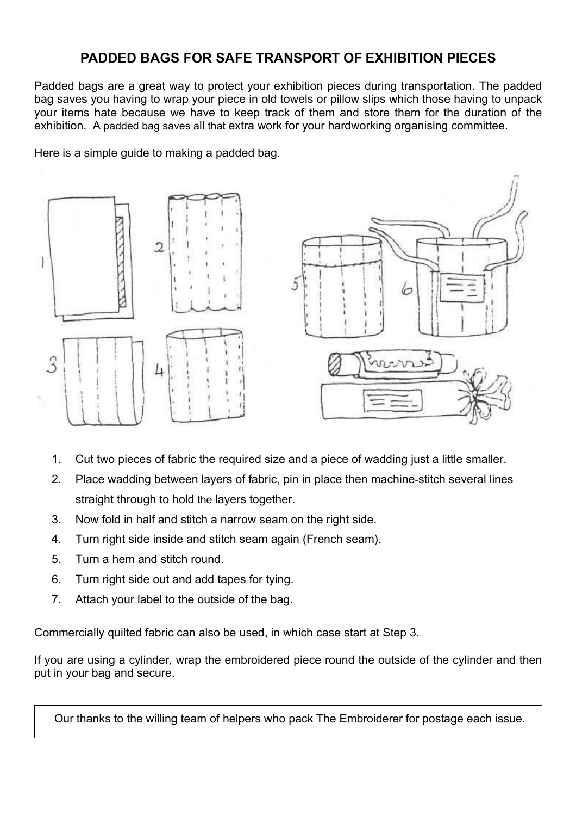#### **PADDED BAGS FOR SAFE TRANSPORT OF EXHIBITION PIECES**

Padded bags are a great way to protect your exhibition pieces during transportation. The padded bag saves you having to wrap your piece in old towels or pillow slips which those having to unpack your items hate because we have to keep track of them and store them for the duration of the exhibition. A padded bag saves all that extra work for your hardworking organising committee.

Here is a simple guide to making a padded bag.



- 1. Cut two pieces of fabric the required size and a piece of wadding just a little smaller.
- 2. Place wadding between layers of fabric, pin in place then machine-stitch several lines straight through to hold the layers together.
- 3. Now fold in half and stitch a narrow seam on the right side.
- 4. Turn right side inside and stitch seam again (French seam).
- 5. Turn a hem and stitch round.
- 6. Turn right side out and add tapes for tying.
- 7. Attach your label to the outside of the bag.

Commercially quilted fabric can also be used, in which case start at Step 3.

If you are using a cylinder, wrap the embroidered piece round the outside of the cylinder and then put in your bag and secure.

Our thanks to the willing team of helpers who pack The Embroiderer for postage each issue.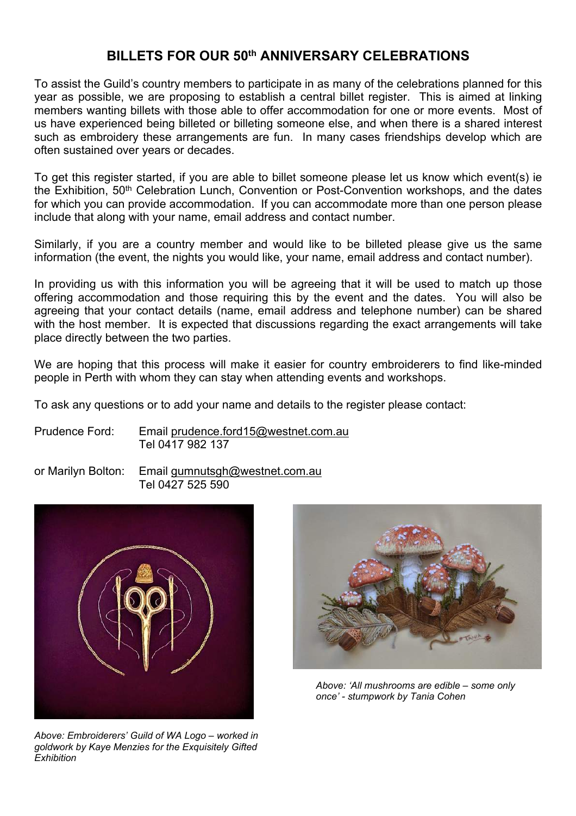#### **BILLETS FOR OUR 50th ANNIVERSARY CELEBRATIONS**

To assist the Guild's country members to participate in as many of the celebrations planned for this year as possible, we are proposing to establish a central billet register. This is aimed at linking members wanting billets with those able to offer accommodation for one or more events. Most of us have experienced being billeted or billeting someone else, and when there is a shared interest such as embroidery these arrangements are fun. In many cases friendships develop which are often sustained over years or decades.

To get this register started, if you are able to billet someone please let us know which event(s) ie the Exhibition, 50<sup>th</sup> Celebration Lunch, Convention or Post-Convention workshops, and the dates for which you can provide accommodation. If you can accommodate more than one person please include that along with your name, email address and contact number.

Similarly, if you are a country member and would like to be billeted please give us the same information (the event, the nights you would like, your name, email address and contact number).

In providing us with this information you will be agreeing that it will be used to match up those offering accommodation and those requiring this by the event and the dates. You will also be agreeing that your contact details (name, email address and telephone number) can be shared with the host member. It is expected that discussions regarding the exact arrangements will take place directly between the two parties.

We are hoping that this process will make it easier for country embroiderers to find like-minded people in Perth with whom they can stay when attending events and workshops.

To ask any questions or to add your name and details to the register please contact:

Prudence Ford: Email [prudence.ford15@westnet.com.au](mailto:prudence.ford15@westnet.com.au) Tel 0417 982 137

or Marilyn Bolton: Email [gumnutsgh@westnet.com.au](mailto:gumnutsgh@westnet.com.au) Tel 0427 525 590



*Above: Embroiderers' Guild of WA Logo – worked in goldwork by Kaye Menzies for the Exquisitely Gifted Exhibition*



*Above: 'All mushrooms are edible – some only once' - stumpwork by Tania Cohen*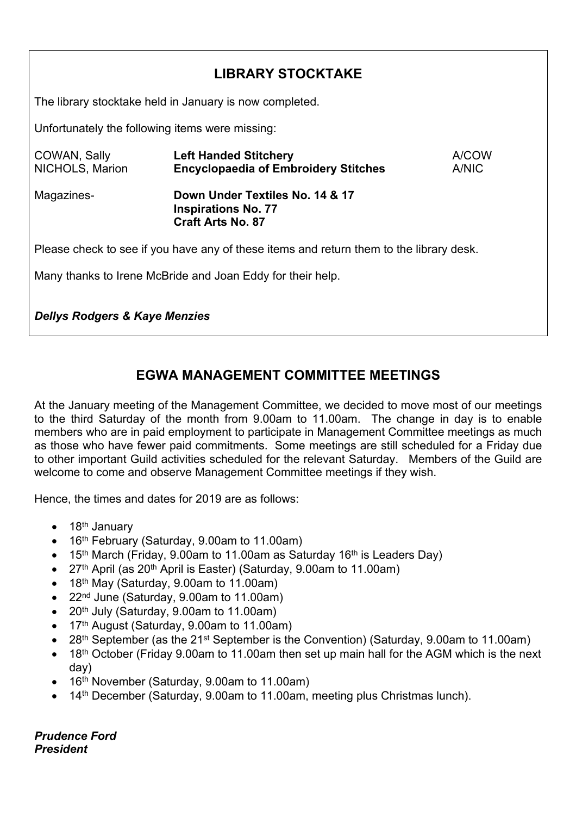### **LIBRARY STOCKTAKE**

The library stocktake held in January is now completed.

Unfortunately the following items were missing:

| COWAN, Sally<br>NICHOLS, Marion                                                         | <b>Left Handed Stitchery</b><br><b>Encyclopaedia of Embroidery Stitches</b>               | A/COW<br>A/NIC |  |  |
|-----------------------------------------------------------------------------------------|-------------------------------------------------------------------------------------------|----------------|--|--|
| Magazines-                                                                              | Down Under Textiles No. 14 & 17<br><b>Inspirations No. 77</b><br><b>Craft Arts No. 87</b> |                |  |  |
| Please check to see if you have any of these items and return them to the library desk. |                                                                                           |                |  |  |
|                                                                                         | Many thanks to Irene McBride and Joan Eddy for their help.                                |                |  |  |

*Dellys Rodgers & Kaye Menzies*

#### **EGWA MANAGEMENT COMMITTEE MEETINGS**

At the January meeting of the Management Committee, we decided to move most of our meetings to the third Saturday of the month from 9.00am to 11.00am. The change in day is to enable members who are in paid employment to participate in Management Committee meetings as much as those who have fewer paid commitments. Some meetings are still scheduled for a Friday due to other important Guild activities scheduled for the relevant Saturday. Members of the Guild are welcome to come and observe Management Committee meetings if they wish.

Hence, the times and dates for 2019 are as follows:

- $\bullet$  18<sup>th</sup> January
- 16<sup>th</sup> February (Saturday, 9.00am to 11.00am)
- 15<sup>th</sup> March (Friday, 9.00am to 11.00am as Saturday 16<sup>th</sup> is Leaders Day)
- 27<sup>th</sup> April (as 20<sup>th</sup> April is Easter) (Saturday, 9.00am to 11.00am)
- $\bullet$  18<sup>th</sup> May (Saturday, 9.00am to 11.00am)
- 22nd June (Saturday, 9.00am to 11.00am)
- 20th July (Saturday, 9.00am to 11.00am)
- 17<sup>th</sup> August (Saturday, 9.00am to 11.00am)
- 28<sup>th</sup> September (as the 21<sup>st</sup> September is the Convention) (Saturday, 9.00am to 11.00am)
- 18<sup>th</sup> October (Friday 9.00am to 11.00am then set up main hall for the AGM which is the next day)
- 16<sup>th</sup> November (Saturday, 9.00am to 11.00am)
- 14<sup>th</sup> December (Saturday, 9.00am to 11.00am, meeting plus Christmas lunch).

*Prudence Ford President*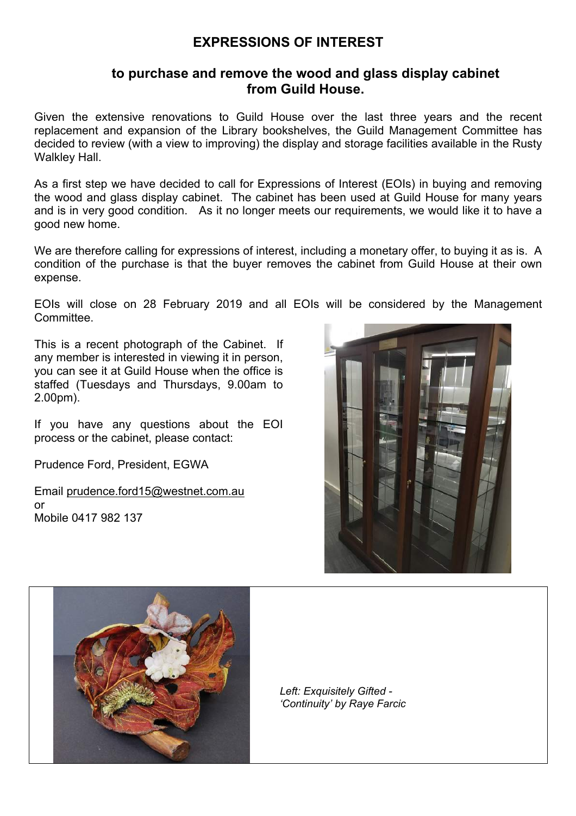#### **EXPRESSIONS OF INTEREST**

#### **to purchase and remove the wood and glass display cabinet from Guild House.**

Given the extensive renovations to Guild House over the last three years and the recent replacement and expansion of the Library bookshelves, the Guild Management Committee has decided to review (with a view to improving) the display and storage facilities available in the Rusty Walkley Hall.

As a first step we have decided to call for Expressions of Interest (EOIs) in buying and removing the wood and glass display cabinet. The cabinet has been used at Guild House for many years and is in very good condition. As it no longer meets our requirements, we would like it to have a good new home.

We are therefore calling for expressions of interest, including a monetary offer, to buying it as is. A condition of the purchase is that the buyer removes the cabinet from Guild House at their own expense.

EOIs will close on 28 February 2019 and all EOIs will be considered by the Management Committee.

This is a recent photograph of the Cabinet. If any member is interested in viewing it in person, you can see it at Guild House when the office is staffed (Tuesdays and Thursdays, 9.00am to 2.00pm).

If you have any questions about the EOI process or the cabinet, please contact:

Prudence Ford, President, EGWA

Email [prudence.ford15@westnet.com.au](mailto:prudence.ford15@westnet.com.au) or Mobile 0417 982 137





*Left: Exquisitely Gifted - 'Continuity' by Raye Farcic*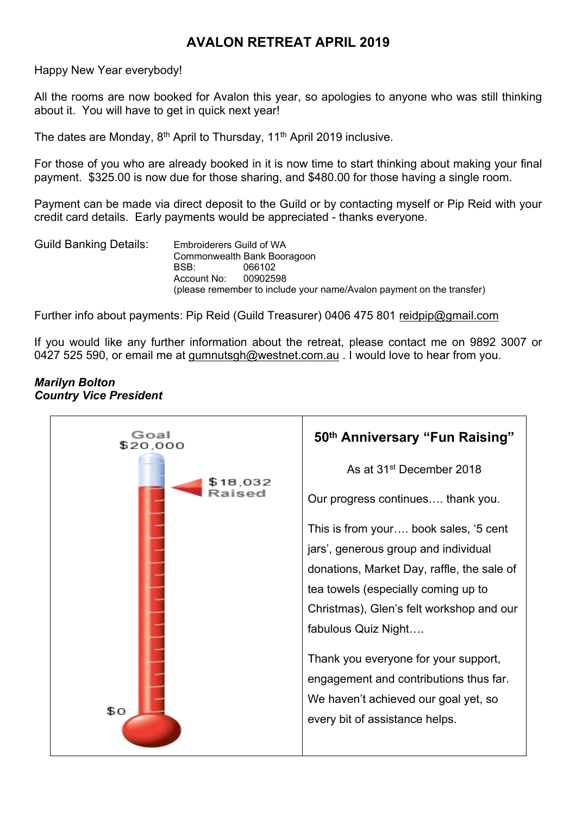#### **AVALON RETREAT APRIL 2019**

Happy New Year everybody!

All the rooms are now booked for Avalon this year, so apologies to anyone who was still thinking about it. You will have to get in quick next year!

The dates are Monday, 8<sup>th</sup> April to Thursday, 11<sup>th</sup> April 2019 inclusive.

For those of you who are already booked in it is now time to start thinking about making your final payment. \$325.00 is now due for those sharing, and \$480.00 for those having a single room.

Payment can be made via direct deposit to the Guild or by contacting myself or Pip Reid with your credit card details. Early payments would be appreciated - thanks everyone.

Guild Banking Details: Embroiderers Guild of WA Commonwealth Bank Booragoon BSB: 066102 Account No: 00902598 (please remember to include your name/Avalon payment on the transfer)

Further info about payments: Pip Reid (Guild Treasurer) 0406 475 801 [reidpip@gmail.com](mailto:reidpip@gmail.com)

If you would like any further information about the retreat, please contact me on 9892 3007 or 0427 525 590, or email me at [gumnutsgh@westnet.com.au](mailto:gumnutsgh@westnet.com.au) . I would love to hear from you.

#### *Marilyn Bolton Country Vice President*

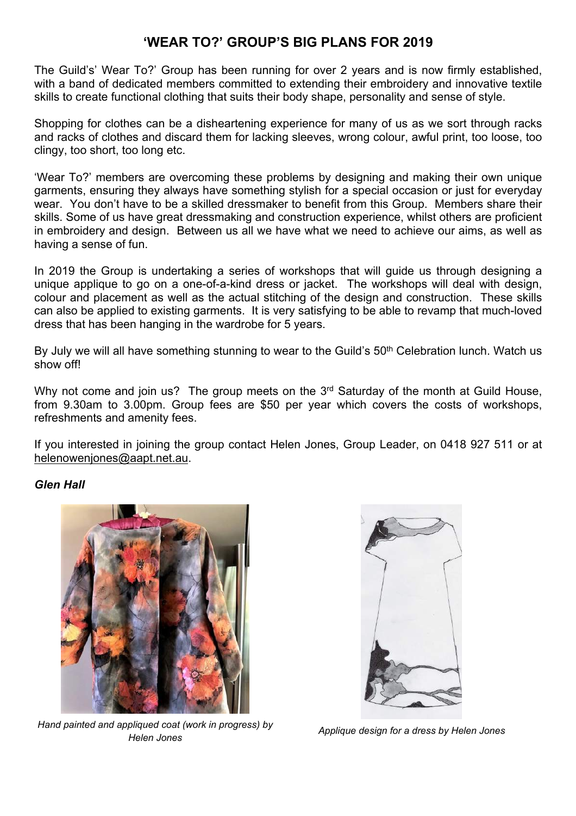#### **'WEAR TO?' GROUP'S BIG PLANS FOR 2019**

The Guild's' Wear To?' Group has been running for over 2 years and is now firmly established, with a band of dedicated members committed to extending their embroidery and innovative textile skills to create functional clothing that suits their body shape, personality and sense of style.

Shopping for clothes can be a disheartening experience for many of us as we sort through racks and racks of clothes and discard them for lacking sleeves, wrong colour, awful print, too loose, too clingy, too short, too long etc.

'Wear To?' members are overcoming these problems by designing and making their own unique garments, ensuring they always have something stylish for a special occasion or just for everyday wear. You don't have to be a skilled dressmaker to benefit from this Group. Members share their skills. Some of us have great dressmaking and construction experience, whilst others are proficient in embroidery and design. Between us all we have what we need to achieve our aims, as well as having a sense of fun.

In 2019 the Group is undertaking a series of workshops that will guide us through designing a unique applique to go on a one-of-a-kind dress or jacket. The workshops will deal with design, colour and placement as well as the actual stitching of the design and construction. These skills can also be applied to existing garments. It is very satisfying to be able to revamp that much-loved dress that has been hanging in the wardrobe for 5 years.

By July we will all have something stunning to wear to the Guild's 50<sup>th</sup> Celebration lunch. Watch us show off!

Why not come and join us? The group meets on the 3<sup>rd</sup> Saturday of the month at Guild House, from 9.30am to 3.00pm. Group fees are \$50 per year which covers the costs of workshops, refreshments and amenity fees.

If you interested in joining the group contact Helen Jones, Group Leader, on 0418 927 511 or at [helenowenjones@aapt.net.au](mailto:helenowenjones@aapt.net.au).

#### *Glen Hall*



*Hand painted and appliqued coat (work in progress) by Helen Jones*



*Applique design for a dress by Helen Jones*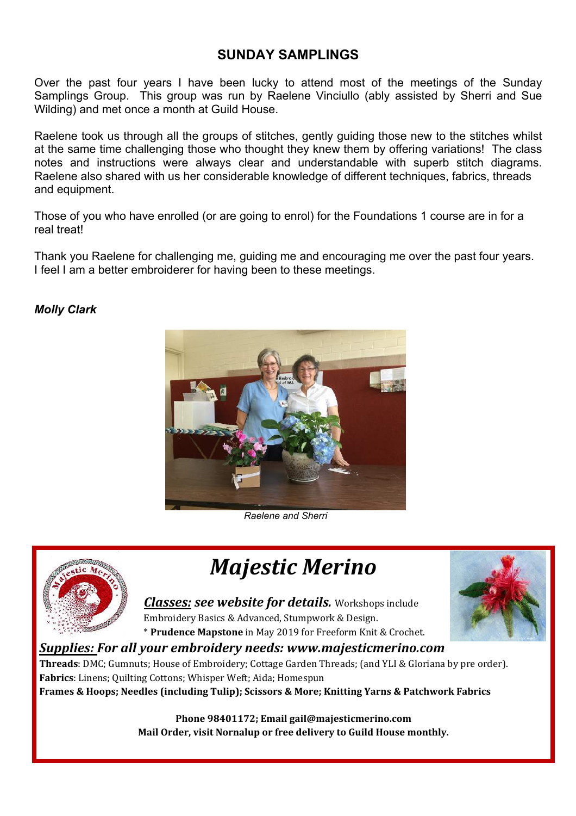#### **SUNDAY SAMPLINGS**

Over the past four years I have been lucky to attend most of the meetings of the Sunday Samplings Group. This group was run by Raelene Vinciullo (ably assisted by Sherri and Sue Wilding) and met once a month at Guild House.

Raelene took us through all the groups of stitches, gently guiding those new to the stitches whilst at the same time challenging those who thought they knew them by offering variations! The class notes and instructions were always clear and understandable with superb stitch diagrams. Raelene also shared with us her considerable knowledge of different techniques, fabrics, threads and equipment.

Those of you who have enrolled (or are going to enrol) for the Foundations 1 course are in for a real treat!

Thank you Raelene for challenging me, guiding me and encouraging me over the past four years. I feel I am a better embroiderer for having been to these meetings.

#### *Molly Clark*



*Raelene and Sherri*



*Majestic Merino*

*Classes: see website for details.* Workshops include Embroidery Basics & Advanced, Stumpwork & Design. \* **Prudence Mapstone** in May 2019 for Freeform Knit & Crochet.

#### *Supplies: For all your embroidery needs: www.majesticmerino.com*

**Threads**: DMC; Gumnuts; House of Embroidery; Cottage Garden Threads; (and YLI & Gloriana by pre order). **Fabrics**: Linens; Quilting Cottons; Whisper Weft; Aida; Homespun **Frames & Hoops; Needles (including Tulip); Scissors & More; Knitting Yarns & Patchwork Fabrics**

> **Phone 98401172; Email gail@majesticmerino.com Mail Order, visit Nornalup or free delivery to Guild House monthly.**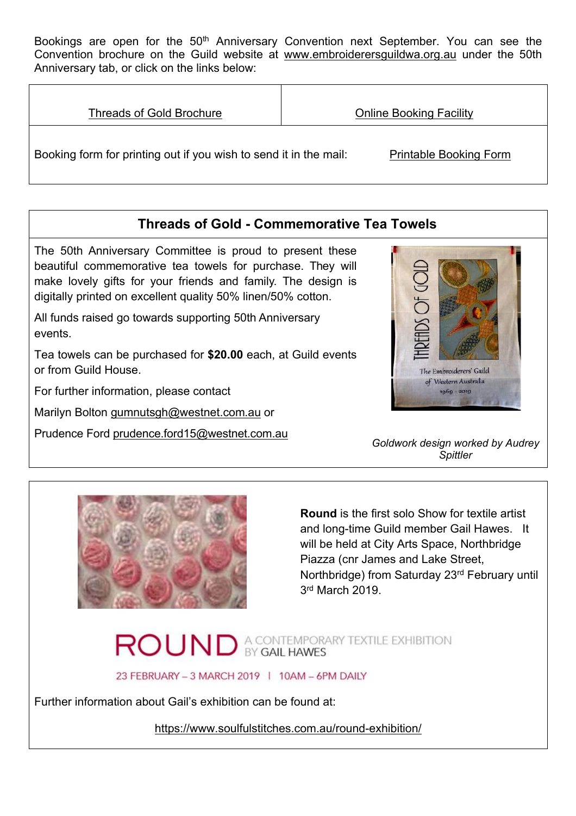Bookings are open for the 50<sup>th</sup> Anniversary Convention next September. You can see the Convention brochure on the Guild website at [www.embroiderersguildwa.org.au](http://www.embroiderersguildwa.org.au/) under the 50th Anniversary tab, or click on the links below:

| <b>Threads of Gold Brochure</b>                                   | <b>Online Booking Facility</b> |
|-------------------------------------------------------------------|--------------------------------|
| Booking form for printing out if you wish to send it in the mail: | <b>Printable Booking Form</b>  |

#### **Threads of Gold - Commemorative Tea Towels**

The 50th Anniversary Committee is proud to present these beautiful commemorative tea towels for purchase. They will make lovely gifts for your friends and family. The design is digitally printed on excellent quality 50% linen/50% cotton.

All funds raised go towards supporting 50th Anniversary events.

Tea towels can be purchased for **\$20.00** each, at Guild events or from Guild House.

For further information, please contact

Marilyn Bolton [gumnutsgh@westnet.com.au](mailto:gumnutsgh@westnet.com.au) or

Prudence Ford [prudence.ford15@westnet.com.au](mailto:prudence.ford15@westnet.com.au)



*Goldwork design worked by Audrey Spittler*



**Round** is the first solo Show for textile artist and long-time Guild member Gail Hawes. It will be held at City Arts Space, Northbridge Piazza (cnr James and Lake Street, Northbridge) from Saturday 23rd February until 3<sup>rd</sup> March 2019.

# ROUND A CONTEMPORARY TEXTILE EXHIBITION

23 FEBRUARY - 3 MARCH 2019 | 10AM - 6PM DAILY

Further information about Gail's exhibition can be found at:

<https://www.soulfulstitches.com.au/round-exhibition/>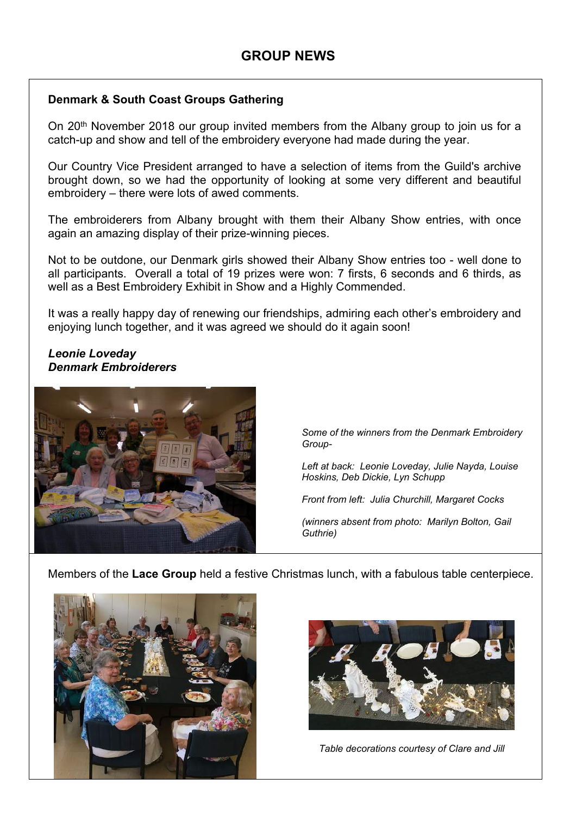#### **Denmark & South Coast Groups Gathering**

On 20<sup>th</sup> November 2018 our group invited members from the Albany group to join us for a catch-up and show and tell of the embroidery everyone had made during the year.

Our Country Vice President arranged to have a selection of items from the Guild's archive brought down, so we had the opportunity of looking at some very different and beautiful embroidery – there were lots of awed comments.

The embroiderers from Albany brought with them their Albany Show entries, with once again an amazing display of their prize-winning pieces.

Not to be outdone, our Denmark girls showed their Albany Show entries too - well done to all participants. Overall a total of 19 prizes were won: 7 firsts, 6 seconds and 6 thirds, as well as a Best Embroidery Exhibit in Show and a Highly Commended.

It was a really happy day of renewing our friendships, admiring each other's embroidery and enjoying lunch together, and it was agreed we should do it again soon!

#### *Leonie Loveday Denmark Embroiderers*



*Some of the winners from the Denmark Embroidery Group-*

*Left at back: Leonie Loveday, Julie Nayda, Louise Hoskins, Deb Dickie, Lyn Schupp*

*Front from left: Julia Churchill, Margaret Cocks*

*(winners absent from photo: Marilyn Bolton, Gail Guthrie)*

Members of the **Lace Group** held a festive Christmas lunch, with a fabulous table centerpiece.





*Table decorations courtesy of Clare and Jill*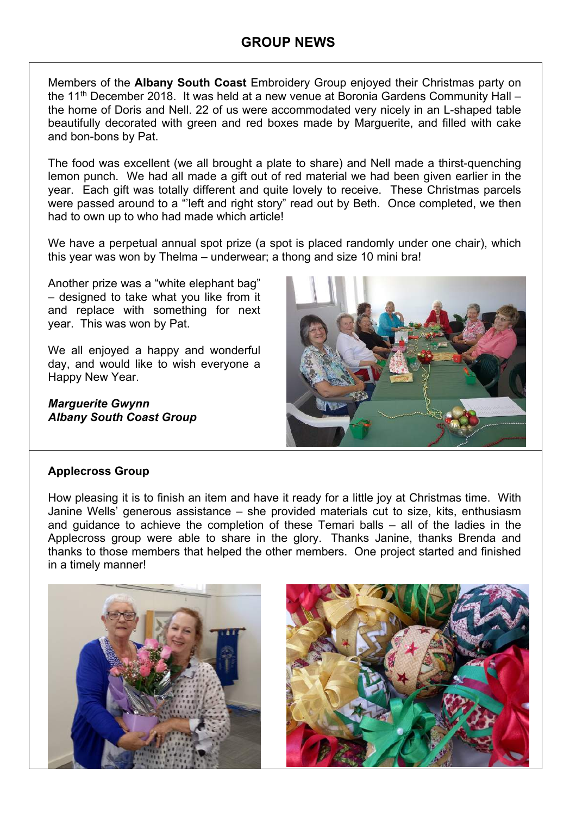Members of the **Albany South Coast** Embroidery Group enjoyed their Christmas party on the  $11<sup>th</sup>$  December 2018. It was held at a new venue at Boronia Gardens Community Hall – the home of Doris and Nell. 22 of us were accommodated very nicely in an L-shaped table beautifully decorated with green and red boxes made by Marguerite, and filled with cake and bon-bons by Pat.

The food was excellent (we all brought a plate to share) and Nell made a thirst-quenching lemon punch. We had all made a gift out of red material we had been given earlier in the year. Each gift was totally different and quite lovely to receive. These Christmas parcels were passed around to a "'left and right story" read out by Beth. Once completed, we then had to own up to who had made which article!

We have a perpetual annual spot prize (a spot is placed randomly under one chair), which this year was won by Thelma – underwear; a thong and size 10 mini bra!

Another prize was a "white elephant bag" – designed to take what you like from it and replace with something for next year. This was won by Pat.

We all enjoyed a happy and wonderful day, and would like to wish everyone a Happy New Year.

*Marguerite Gwynn Albany South Coast Group*



#### **Applecross Group**

How pleasing it is to finish an item and have it ready for a little joy at Christmas time. With Janine Wells' generous assistance – she provided materials cut to size, kits, enthusiasm and guidance to achieve the completion of these Temari balls – all of the ladies in the Applecross group were able to share in the glory. Thanks Janine, thanks Brenda and thanks to those members that helped the other members. One project started and finished in a timely manner!

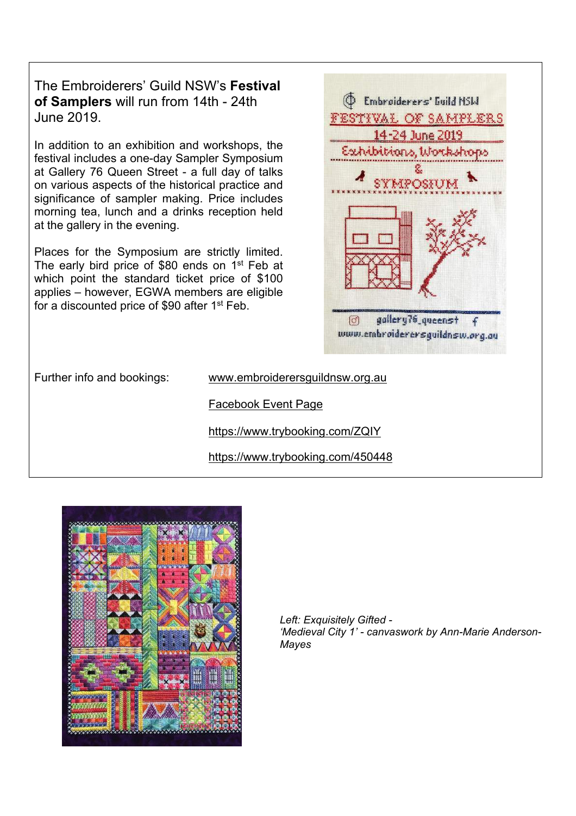The Embroiderers' Guild NSW's **Festival of Samplers** will run from 14th - 24th June 2019.

In addition to an exhibition and workshops, the festival includes a one-day Sampler Symposium at Gallery 76 Queen Street - a full day of talks on various aspects of the historical practice and significance of sampler making. Price includes morning tea, lunch and a drinks reception held at the gallery in the evening.

Places for the Symposium are strictly limited. The early bird price of \$80 ends on 1<sup>st</sup> Feb at which point the standard ticket price of \$100 applies – however, EGWA members are eligible for a discounted price of \$90 after 1st Feb.



Further info and bookings: [www.embroiderersguildnsw.org.au](http://www.embroiderersguildnsw.org.au/)

[Facebook Event Page](https://www.facebook.com/events/2447290885287752/) 

<https://www.trybooking.com/ZQIY>

<https://www.trybooking.com/450448>



*Left: Exquisitely Gifted - 'Medieval City 1' - canvaswork by Ann-Marie Anderson-Mayes*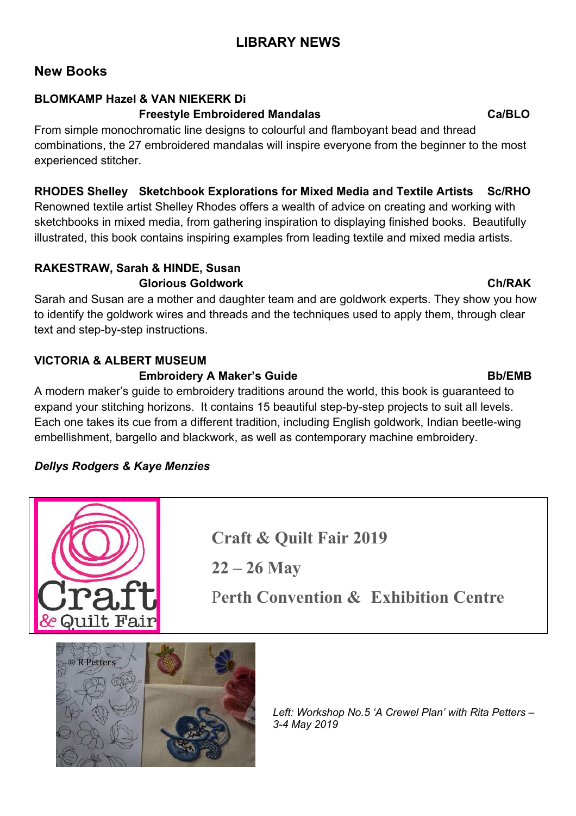### **LIBRARY NEWS**

#### **New Books**

#### **BLOMKAMP Hazel & VAN NIEKERK Di**

#### **Freestyle Embroidered Mandalas Ca/BLO**

From simple monochromatic line designs to colourful and flamboyant bead and thread combinations, the 27 embroidered mandalas will inspire everyone from the beginner to the most experienced stitcher.

#### **RHODES Shelley Sketchbook Explorations for Mixed Media and Textile Artists Sc/RHO**

Renowned textile artist Shelley Rhodes offers a wealth of advice on creating and working with sketchbooks in mixed media, from gathering inspiration to displaying finished books. Beautifully illustrated, this book contains inspiring examples from leading textile and mixed media artists.

#### **RAKESTRAW, Sarah & HINDE, Susan Glorious Goldwork Ch/RAK**

Sarah and Susan are a mother and daughter team and are goldwork experts. They show you how to identify the goldwork wires and threads and the techniques used to apply them, through clear text and step-by-step instructions.

### **VICTORIA & ALBERT MUSEUM**

#### **Embroidery A Maker's Guide Bb/EMB**

A modern maker's guide to embroidery traditions around the world, this book is guaranteed to expand your stitching horizons. It contains 15 beautiful step-by-step projects to suit all levels. Each one takes its cue from a different tradition, including English goldwork, Indian beetle-wing embellishment, bargello and blackwork, as well as contemporary machine embroidery.

#### *Dellys Rodgers & Kaye Menzies*

**Craft & Quilt Fair 2019**

**22 – 26 May**

P**erth Convention & Exhibition Centre**



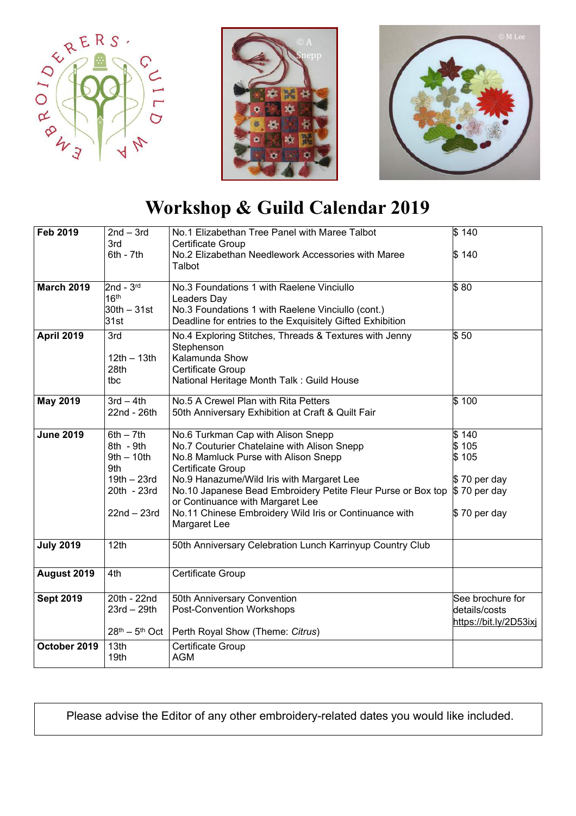





# **Workshop & Guild Calendar 2019**

| <b>Feb 2019</b>   | $2nd - 3rd$                       | No.1 Elizabethan Tree Panel with Maree Talbot                                                    | \$140                  |
|-------------------|-----------------------------------|--------------------------------------------------------------------------------------------------|------------------------|
|                   | 3rd                               | <b>Certificate Group</b>                                                                         |                        |
|                   | $6th - 7th$                       | No.2 Elizabethan Needlework Accessories with Maree<br>Talbot                                     | \$140                  |
|                   |                                   |                                                                                                  |                        |
| <b>March 2019</b> | $2nd - 3rd$                       | No.3 Foundations 1 with Raelene Vinciullo                                                        | \$80                   |
|                   | 16 <sup>th</sup><br>$30th - 31st$ | Leaders Day<br>No.3 Foundations 1 with Raelene Vinciullo (cont.)                                 |                        |
|                   | 31st                              | Deadline for entries to the Exquisitely Gifted Exhibition                                        |                        |
| <b>April 2019</b> | 3rd                               | No.4 Exploring Stitches, Threads & Textures with Jenny                                           | $\frac{1}{3}50$        |
|                   |                                   | Stephenson                                                                                       |                        |
|                   | $12th - 13th$                     | Kalamunda Show                                                                                   |                        |
|                   | 28th                              | Certificate Group                                                                                |                        |
|                   | tbc                               | National Heritage Month Talk: Guild House                                                        |                        |
| <b>May 2019</b>   | $3rd - 4th$                       | No.5 A Crewel Plan with Rita Petters                                                             | \$100                  |
|                   | 22nd - 26th                       | 50th Anniversary Exhibition at Craft & Quilt Fair                                                |                        |
| <b>June 2019</b>  | $6th - 7th$                       | No.6 Turkman Cap with Alison Snepp                                                               | \$140                  |
|                   | 8th - 9th                         | No.7 Couturier Chatelaine with Alison Snepp                                                      | \$105                  |
|                   | $9th - 10th$                      | No.8 Mamluck Purse with Alison Snepp                                                             | \$105                  |
|                   | 9th                               | Certificate Group                                                                                |                        |
|                   | $19th - 23rd$                     | No.9 Hanazume/Wild Iris with Margaret Lee                                                        | \$70 per day           |
|                   | 20th - 23rd                       | No.10 Japanese Bead Embroidery Petite Fleur Purse or Box top<br>or Continuance with Margaret Lee | $$70$ per day          |
|                   | $22nd - 23rd$                     | No.11 Chinese Embroidery Wild Iris or Continuance with                                           | $$70$ per day          |
|                   |                                   | Margaret Lee                                                                                     |                        |
| <b>July 2019</b>  | 12th                              | 50th Anniversary Celebration Lunch Karrinyup Country Club                                        |                        |
|                   |                                   |                                                                                                  |                        |
| August 2019       | 4th                               | Certificate Group                                                                                |                        |
|                   |                                   |                                                                                                  |                        |
| <b>Sept 2019</b>  | 20th - 22nd                       | 50th Anniversary Convention                                                                      | See brochure for       |
|                   | $23rd - 29th$                     | <b>Post-Convention Workshops</b>                                                                 | details/costs          |
|                   |                                   |                                                                                                  | https://bit.ly/2D53ixj |
|                   | $28th - 5th$ Oct                  | Perth Royal Show (Theme: Citrus)                                                                 |                        |
| October 2019      | 13th                              | Certificate Group                                                                                |                        |
|                   | 19th                              | <b>AGM</b>                                                                                       |                        |

Please advise the Editor of any other embroidery-related dates you would like included.